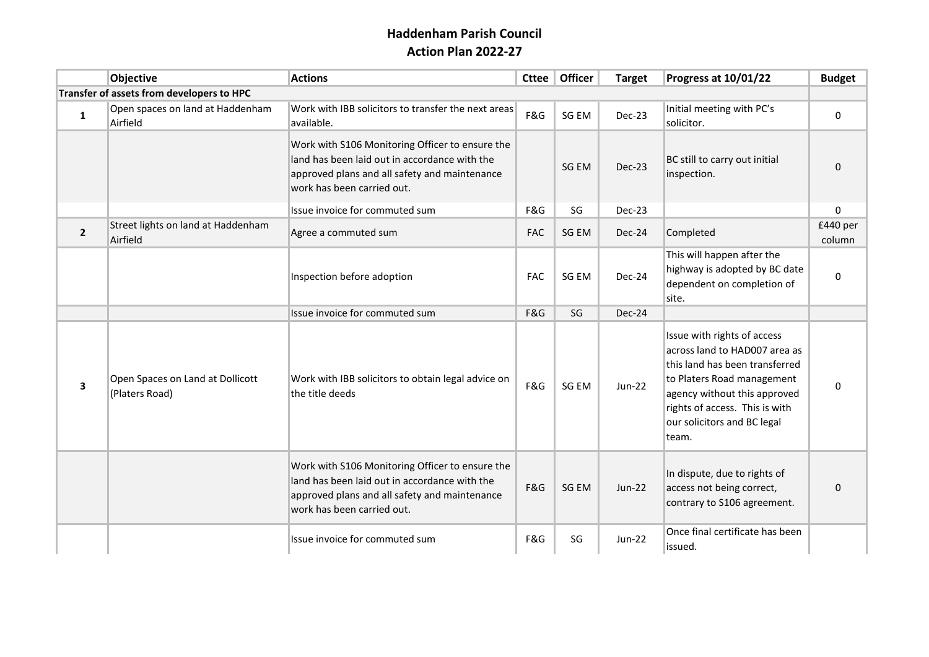## **Haddenham Parish Council Action Plan 2022-27**

|                                           | Objective                                          | <b>Actions</b>                                                                                                                                                                  | <b>Cttee</b> | Officer | <b>Target</b> | Progress at 10/01/22                                                                                                                                                                                                                   | <b>Budget</b>      |
|-------------------------------------------|----------------------------------------------------|---------------------------------------------------------------------------------------------------------------------------------------------------------------------------------|--------------|---------|---------------|----------------------------------------------------------------------------------------------------------------------------------------------------------------------------------------------------------------------------------------|--------------------|
| Transfer of assets from developers to HPC |                                                    |                                                                                                                                                                                 |              |         |               |                                                                                                                                                                                                                                        |                    |
| $\mathbf 1$                               | Open spaces on land at Haddenham<br>Airfield       | Work with IBB solicitors to transfer the next areas<br>available.                                                                                                               | F&G          | SG EM   | Dec-23        | Initial meeting with PC's<br>solicitor.                                                                                                                                                                                                | $\mathbf 0$        |
|                                           |                                                    | Work with S106 Monitoring Officer to ensure the<br>land has been laid out in accordance with the<br>approved plans and all safety and maintenance<br>work has been carried out. |              | SG EM   | Dec-23        | BC still to carry out initial<br>inspection.                                                                                                                                                                                           | $\mathbf 0$        |
|                                           |                                                    | Issue invoice for commuted sum                                                                                                                                                  | F&G          | SG      | Dec-23        |                                                                                                                                                                                                                                        | 0                  |
| $\overline{2}$                            | Street lights on land at Haddenham<br>Airfield     | Agree a commuted sum                                                                                                                                                            | <b>FAC</b>   | SG EM   | Dec-24        | Completed                                                                                                                                                                                                                              | £440 per<br>column |
|                                           |                                                    | Inspection before adoption                                                                                                                                                      | <b>FAC</b>   | SG EM   | Dec-24        | This will happen after the<br>highway is adopted by BC date<br>dependent on completion of<br>site.                                                                                                                                     | 0                  |
|                                           |                                                    | Issue invoice for commuted sum                                                                                                                                                  | F&G          | SG      | Dec-24        |                                                                                                                                                                                                                                        |                    |
| 3                                         | Open Spaces on Land at Dollicott<br>(Platers Road) | Work with IBB solicitors to obtain legal advice on<br>the title deeds                                                                                                           | F&G          | SG EM   | $Jun-22$      | Issue with rights of access<br>across land to HAD007 area as<br>this land has been transferred<br>to Platers Road management<br>agency without this approved<br>rights of access. This is with<br>our solicitors and BC legal<br>team. | 0                  |
|                                           |                                                    | Work with S106 Monitoring Officer to ensure the<br>land has been laid out in accordance with the<br>approved plans and all safety and maintenance<br>work has been carried out. | F&G          | SG EM   | <b>Jun-22</b> | In dispute, due to rights of<br>access not being correct,<br>contrary to S106 agreement.                                                                                                                                               | $\Omega$           |
|                                           |                                                    | Issue invoice for commuted sum                                                                                                                                                  | F&G          | SG      | <b>Jun-22</b> | Once final certificate has been<br>issued.                                                                                                                                                                                             |                    |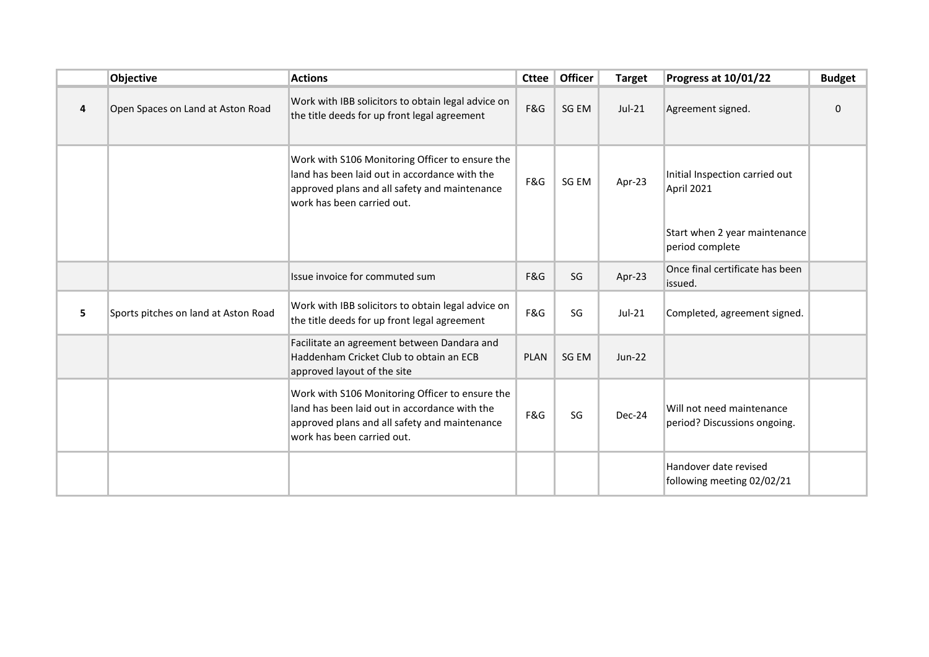|   | Objective                            | <b>Actions</b>                                                                                                                                                                  | <b>Cttee</b> | <b>Officer</b> | <b>Target</b> | Progress at 10/01/22                                      | <b>Budget</b> |
|---|--------------------------------------|---------------------------------------------------------------------------------------------------------------------------------------------------------------------------------|--------------|----------------|---------------|-----------------------------------------------------------|---------------|
| 4 | Open Spaces on Land at Aston Road    | Work with IBB solicitors to obtain legal advice on<br>the title deeds for up front legal agreement                                                                              | F&G          | SG EM          | $Jul-21$      | Agreement signed.                                         | $\Omega$      |
|   |                                      | Work with S106 Monitoring Officer to ensure the<br>land has been laid out in accordance with the<br>approved plans and all safety and maintenance<br>work has been carried out. | F&G          | SG EM          | Apr-23        | Initial Inspection carried out<br>April 2021              |               |
|   |                                      |                                                                                                                                                                                 |              |                |               | Start when 2 year maintenance<br>period complete          |               |
|   |                                      | Issue invoice for commuted sum                                                                                                                                                  | F&G          | SG             | Apr-23        | Once final certificate has been<br>issued.                |               |
| 5 | Sports pitches on land at Aston Road | Work with IBB solicitors to obtain legal advice on<br>the title deeds for up front legal agreement                                                                              | F&G          | SG             | $Jul-21$      | Completed, agreement signed.                              |               |
|   |                                      | Facilitate an agreement between Dandara and<br>Haddenham Cricket Club to obtain an ECB<br>approved layout of the site                                                           | <b>PLAN</b>  | SG EM          | <b>Jun-22</b> |                                                           |               |
|   |                                      | Work with S106 Monitoring Officer to ensure the<br>land has been laid out in accordance with the<br>approved plans and all safety and maintenance<br>work has been carried out. | F&G          | SG             | Dec-24        | Will not need maintenance<br>period? Discussions ongoing. |               |
|   |                                      |                                                                                                                                                                                 |              |                |               | Handover date revised<br>following meeting 02/02/21       |               |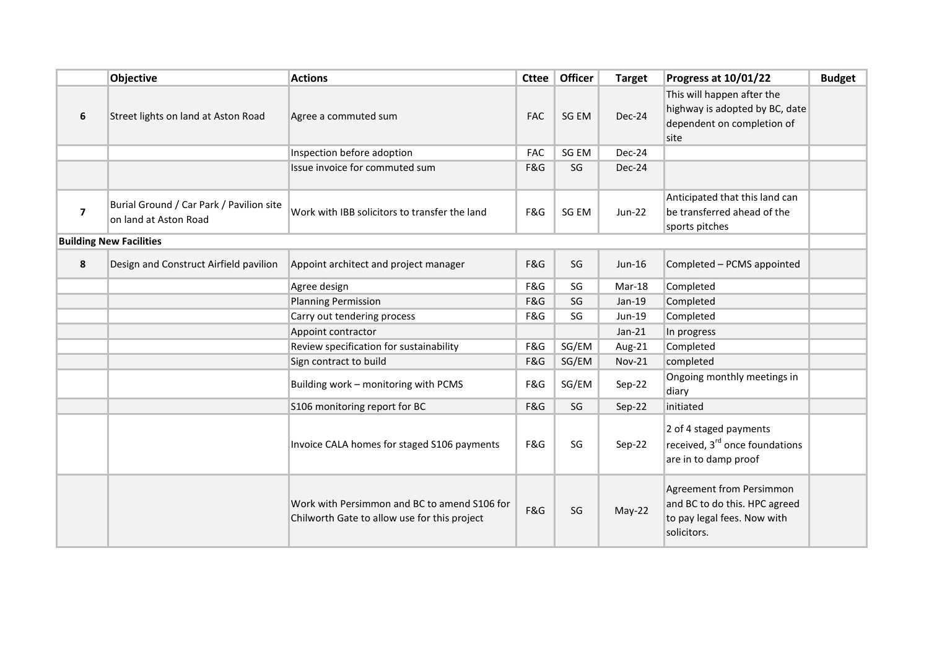|                | Objective                                                         | <b>Actions</b>                                                                               | <b>Cttee</b> | Officer | <b>Target</b> | Progress at 10/01/22                                                                                    | <b>Budget</b> |
|----------------|-------------------------------------------------------------------|----------------------------------------------------------------------------------------------|--------------|---------|---------------|---------------------------------------------------------------------------------------------------------|---------------|
| 6              | Street lights on land at Aston Road                               | Agree a commuted sum                                                                         | <b>FAC</b>   | SG EM   | Dec-24        | This will happen after the<br>highway is adopted by BC, date<br>dependent on completion of<br>site      |               |
|                |                                                                   | Inspection before adoption                                                                   | <b>FAC</b>   | SG EM   | Dec-24        |                                                                                                         |               |
|                |                                                                   | Issue invoice for commuted sum                                                               | F&G          | SG      | Dec-24        |                                                                                                         |               |
| $\overline{7}$ | Burial Ground / Car Park / Pavilion site<br>on land at Aston Road | Work with IBB solicitors to transfer the land                                                | F&G          | SG EM   | <b>Jun-22</b> | Anticipated that this land can<br>be transferred ahead of the<br>sports pitches                         |               |
|                | <b>Building New Facilities</b>                                    |                                                                                              |              |         |               |                                                                                                         |               |
| 8              | Design and Construct Airfield pavilion                            | Appoint architect and project manager                                                        | F&G          | SG      | Jun-16        | Completed - PCMS appointed                                                                              |               |
|                |                                                                   | Agree design                                                                                 | F&G          | SG      | Mar-18        | Completed                                                                                               |               |
|                |                                                                   | <b>Planning Permission</b>                                                                   | F&G          | SG      | $Jan-19$      | Completed                                                                                               |               |
|                |                                                                   | Carry out tendering process                                                                  | F&G          | SG      | Jun-19        | Completed                                                                                               |               |
|                |                                                                   | Appoint contractor                                                                           |              |         | $Jan-21$      | In progress                                                                                             |               |
|                |                                                                   | Review specification for sustainability                                                      | F&G          | SG/EM   | Aug-21        | Completed                                                                                               |               |
|                |                                                                   | Sign contract to build                                                                       | F&G          | SG/EM   | <b>Nov-21</b> | completed                                                                                               |               |
|                |                                                                   | Building work - monitoring with PCMS                                                         | F&G          | SG/EM   | Sep-22        | Ongoing monthly meetings in<br>diary                                                                    |               |
|                |                                                                   | S106 monitoring report for BC                                                                | F&G          | SG      | Sep-22        | initiated                                                                                               |               |
|                |                                                                   | Invoice CALA homes for staged S106 payments                                                  | F&G          | SG      | $Sep-22$      | 2 of 4 staged payments<br>received, 3 <sup>rd</sup> once foundations<br>are in to damp proof            |               |
|                |                                                                   | Work with Persimmon and BC to amend S106 for<br>Chilworth Gate to allow use for this project | F&G          | SG      | May-22        | Agreement from Persimmon<br>and BC to do this. HPC agreed<br>to pay legal fees. Now with<br>solicitors. |               |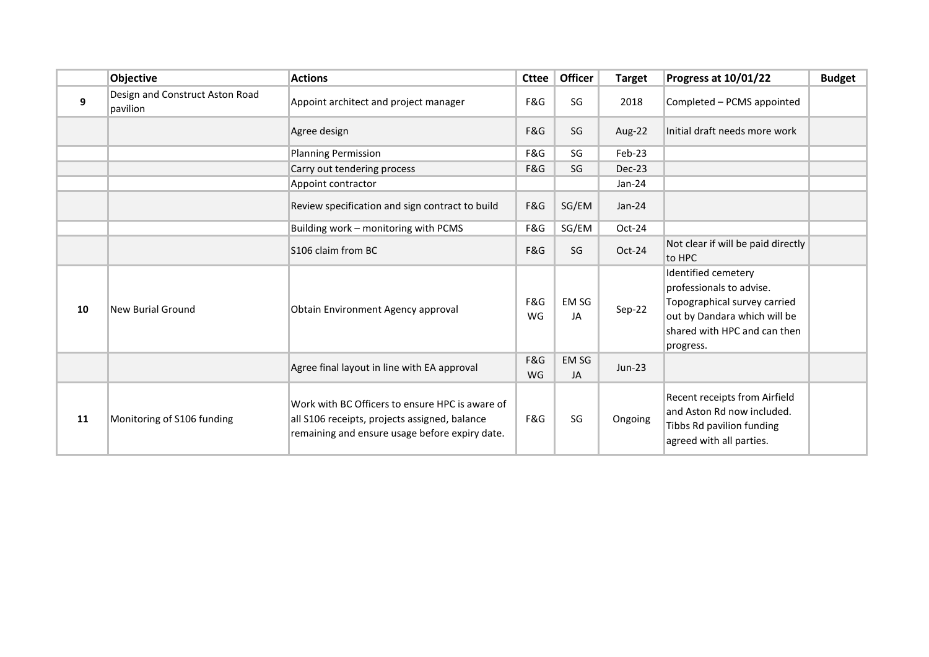|    | Objective                                   | <b>Actions</b>                                                                                                                                     | <b>Cttee</b> | <b>Officer</b>     | <b>Target</b> | Progress at 10/01/22                                                                                                                                         | <b>Budget</b> |
|----|---------------------------------------------|----------------------------------------------------------------------------------------------------------------------------------------------------|--------------|--------------------|---------------|--------------------------------------------------------------------------------------------------------------------------------------------------------------|---------------|
| 9  | Design and Construct Aston Road<br>pavilion | Appoint architect and project manager                                                                                                              | F&G          | SG                 | 2018          | Completed - PCMS appointed                                                                                                                                   |               |
|    |                                             | Agree design                                                                                                                                       | F&G          | SG                 | Aug-22        | Initial draft needs more work                                                                                                                                |               |
|    |                                             | <b>Planning Permission</b>                                                                                                                         | F&G          | SG                 | Feb-23        |                                                                                                                                                              |               |
|    |                                             | Carry out tendering process                                                                                                                        | F&G          | SG                 | Dec-23        |                                                                                                                                                              |               |
|    |                                             | Appoint contractor                                                                                                                                 |              |                    | Jan-24        |                                                                                                                                                              |               |
|    |                                             | Review specification and sign contract to build                                                                                                    | F&G          | SG/EM              | $Jan-24$      |                                                                                                                                                              |               |
|    |                                             | Building work - monitoring with PCMS                                                                                                               | F&G          | SG/EM              | Oct-24        |                                                                                                                                                              |               |
|    |                                             | S106 claim from BC                                                                                                                                 | F&G          | SG                 | Oct-24        | Not clear if will be paid directly<br>to HPC                                                                                                                 |               |
| 10 | New Burial Ground                           | Obtain Environment Agency approval                                                                                                                 | F&G<br>WG    | EM SG<br>JA        | Sep-22        | Identified cemetery<br>professionals to advise.<br>Topographical survey carried<br>out by Dandara which will be<br>shared with HPC and can then<br>progress. |               |
|    |                                             | Agree final layout in line with EA approval                                                                                                        | F&G<br>WG    | <b>EM SG</b><br>JA | $Jun-23$      |                                                                                                                                                              |               |
| 11 | Monitoring of S106 funding                  | Work with BC Officers to ensure HPC is aware of<br>all S106 receipts, projects assigned, balance<br>remaining and ensure usage before expiry date. | F&G          | SG                 | Ongoing       | Recent receipts from Airfield<br>and Aston Rd now included.<br>Tibbs Rd pavilion funding<br>agreed with all parties.                                         |               |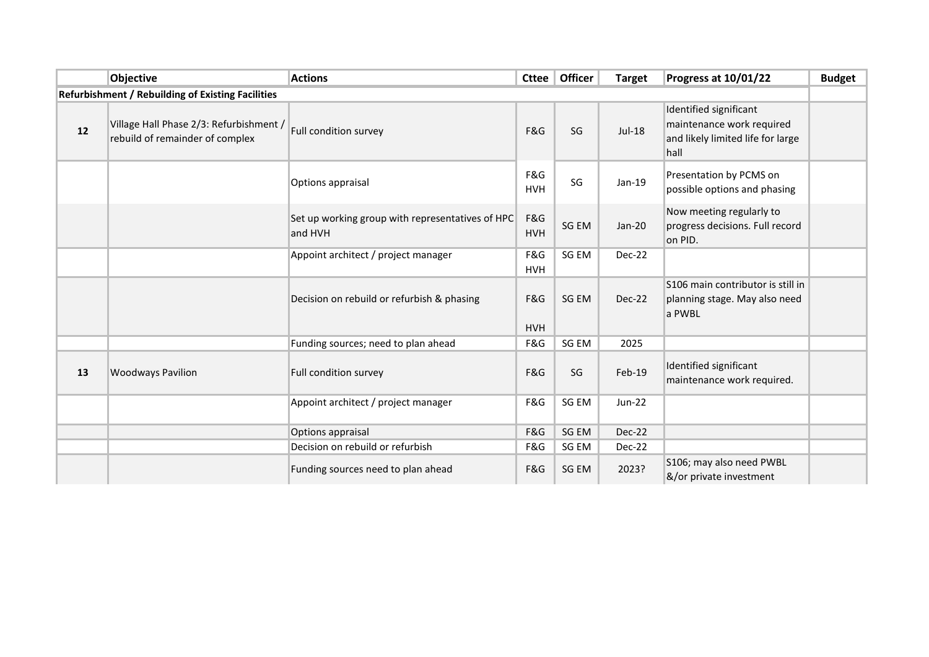|    | Objective                                                                  | <b>Actions</b>                                              | <b>Cttee</b>      | <b>Officer</b> | <b>Target</b> | Progress at 10/01/22                                                                             | <b>Budget</b> |
|----|----------------------------------------------------------------------------|-------------------------------------------------------------|-------------------|----------------|---------------|--------------------------------------------------------------------------------------------------|---------------|
|    | <b>Refurbishment / Rebuilding of Existing Facilities</b>                   |                                                             |                   |                |               |                                                                                                  |               |
| 12 | Village Hall Phase 2/3: Refurbishment /<br>rebuild of remainder of complex | Full condition survey                                       | F&G               | SG             | $Jul-18$      | Identified significant<br>maintenance work required<br>and likely limited life for large<br>hall |               |
|    |                                                                            | Options appraisal                                           | F&G<br><b>HVH</b> | SG             | $Jan-19$      | Presentation by PCMS on<br>possible options and phasing                                          |               |
|    |                                                                            | Set up working group with representatives of HPC<br>and HVH | F&G<br><b>HVH</b> | SG EM          | $Jan-20$      | Now meeting regularly to<br>progress decisions. Full record<br>on PID.                           |               |
|    |                                                                            | Appoint architect / project manager                         | F&G<br><b>HVH</b> | SG EM          | <b>Dec-22</b> |                                                                                                  |               |
|    |                                                                            | Decision on rebuild or refurbish & phasing                  | F&G<br><b>HVH</b> | SG EM          | Dec-22        | S106 main contributor is still in<br>planning stage. May also need<br>a PWBL                     |               |
|    |                                                                            | Funding sources; need to plan ahead                         | F&G               | SG EM          | 2025          |                                                                                                  |               |
| 13 | <b>Woodways Pavilion</b>                                                   | Full condition survey                                       | F&G               | SG             | Feb-19        | Identified significant<br>maintenance work required.                                             |               |
|    |                                                                            | Appoint architect / project manager                         | F&G               | SG EM          | $Jun-22$      |                                                                                                  |               |
|    |                                                                            | Options appraisal                                           | F&G               | SG EM          | <b>Dec-22</b> |                                                                                                  |               |
|    |                                                                            | Decision on rebuild or refurbish                            | F&G               | SG EM          | Dec-22        |                                                                                                  |               |
|    |                                                                            | Funding sources need to plan ahead                          | F&G               | SG EM          | 2023?         | S106; may also need PWBL<br>&/or private investment                                              |               |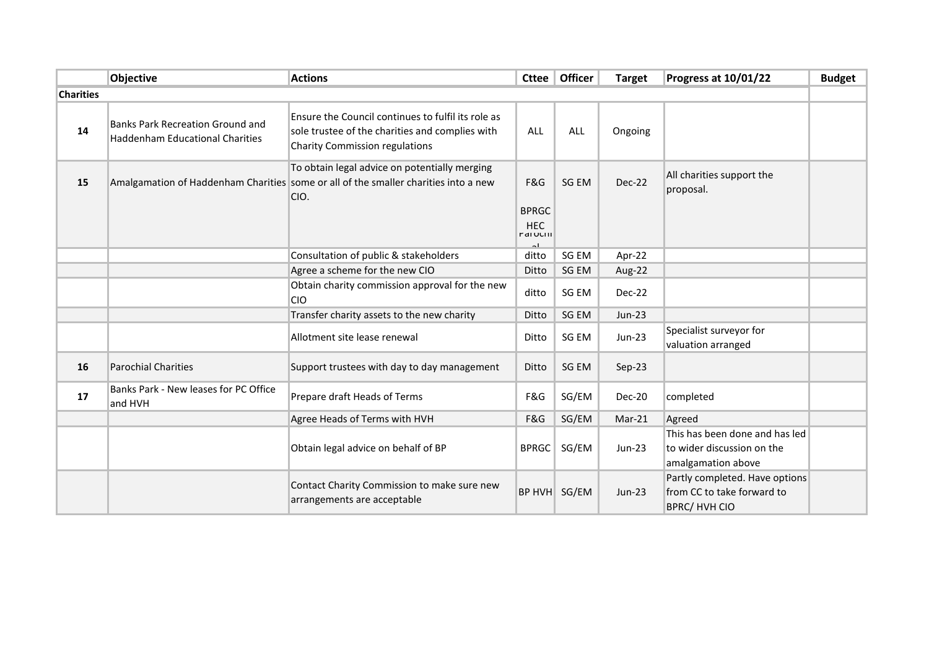|                  | <b>Objective</b>                                                                  | <b>Actions</b>                                                                                                                               | Cttee                                                | Officer    | <b>Target</b> | <b>Progress at 10/01/22</b>                                                         | <b>Budget</b> |
|------------------|-----------------------------------------------------------------------------------|----------------------------------------------------------------------------------------------------------------------------------------------|------------------------------------------------------|------------|---------------|-------------------------------------------------------------------------------------|---------------|
| <b>Charities</b> |                                                                                   |                                                                                                                                              |                                                      |            |               |                                                                                     |               |
| 14               | <b>Banks Park Recreation Ground and</b><br><b>Haddenham Educational Charities</b> | Ensure the Council continues to fulfil its role as<br>sole trustee of the charities and complies with<br>Charity Commission regulations      | <b>ALL</b>                                           | <b>ALL</b> | Ongoing       |                                                                                     |               |
| 15               |                                                                                   | To obtain legal advice on potentially merging<br>Amalgamation of Haddenham Charities some or all of the smaller charities into a new<br>CIO. | F&G<br><b>BPRGC</b><br><b>HEC</b><br><b>MAIULIII</b> | SG EM      | Dec-22        | All charities support the<br>proposal.                                              |               |
|                  |                                                                                   | Consultation of public & stakeholders                                                                                                        | ditto                                                | SG EM      | Apr-22        |                                                                                     |               |
|                  |                                                                                   | Agree a scheme for the new CIO                                                                                                               | Ditto                                                | SG EM      | Aug-22        |                                                                                     |               |
|                  |                                                                                   | Obtain charity commission approval for the new<br><b>CIO</b>                                                                                 | ditto                                                | SG EM      | Dec-22        |                                                                                     |               |
|                  |                                                                                   | Transfer charity assets to the new charity                                                                                                   | Ditto                                                | SG EM      | $Jun-23$      |                                                                                     |               |
|                  |                                                                                   | Allotment site lease renewal                                                                                                                 | Ditto                                                | SG EM      | $Jun-23$      | Specialist surveyor for<br>valuation arranged                                       |               |
| 16               | <b>Parochial Charities</b>                                                        | Support trustees with day to day management                                                                                                  | Ditto                                                | SG EM      | Sep-23        |                                                                                     |               |
| 17               | Banks Park - New leases for PC Office<br>and HVH                                  | Prepare draft Heads of Terms                                                                                                                 | F&G                                                  | SG/EM      | Dec-20        | completed                                                                           |               |
|                  |                                                                                   | Agree Heads of Terms with HVH                                                                                                                | F&G                                                  | SG/EM      | Mar-21        | Agreed                                                                              |               |
|                  |                                                                                   | Obtain legal advice on behalf of BP                                                                                                          | <b>BPRGC</b>                                         | SG/EM      | Jun-23        | This has been done and has led<br>to wider discussion on the<br>amalgamation above  |               |
|                  |                                                                                   | Contact Charity Commission to make sure new<br>arrangements are acceptable                                                                   | <b>BP HVH</b>                                        | SG/EM      | Jun-23        | Partly completed. Have options<br>from CC to take forward to<br><b>BPRC/HVH CIO</b> |               |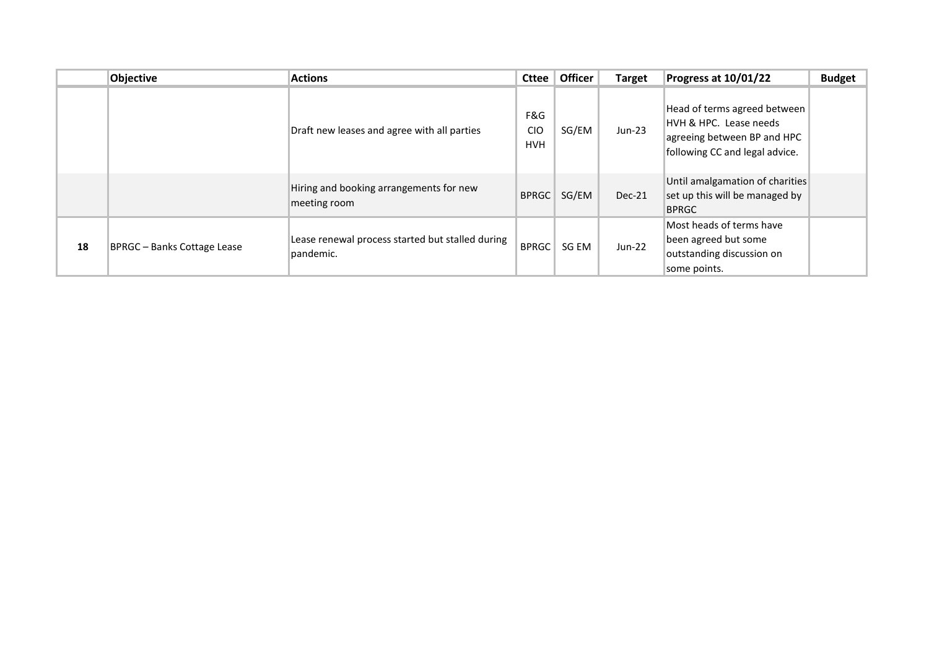|    | <b>Objective</b>            | <b>Actions</b>                                                | <b>Cttee</b>                    | <b>Officer</b> | <b>Target</b> | Progress at 10/01/22                                                                                                    | <b>Budget</b> |
|----|-----------------------------|---------------------------------------------------------------|---------------------------------|----------------|---------------|-------------------------------------------------------------------------------------------------------------------------|---------------|
|    |                             | Draft new leases and agree with all parties                   | F&G<br><b>CIO</b><br><b>HVH</b> | SG/EM          | $Jun-23$      | Head of terms agreed between<br>HVH & HPC. Lease needs<br>agreeing between BP and HPC<br>following CC and legal advice. |               |
|    |                             | Hiring and booking arrangements for new<br>meeting room       | <b>BPRGC</b>                    | SG/EM          | Dec-21        | Until amalgamation of charities<br>set up this will be managed by<br><b>BPRGC</b>                                       |               |
| 18 | BPRGC - Banks Cottage Lease | Lease renewal process started but stalled during<br>pandemic. | <b>BPRGC</b>                    | SG EM          | $Jun-22$      | Most heads of terms have<br>been agreed but some<br>outstanding discussion on<br>some points.                           |               |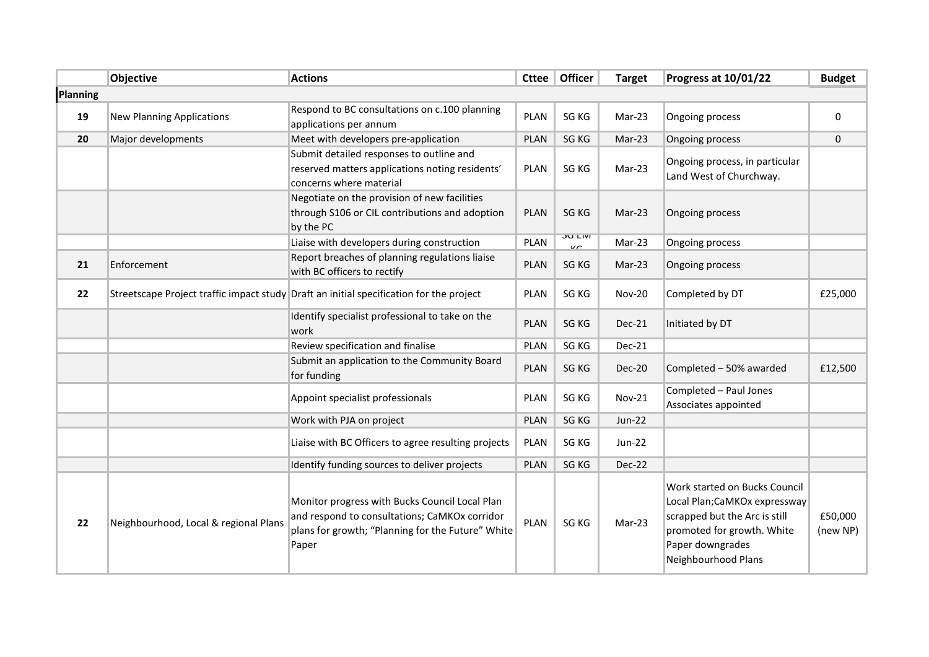|                 | <b>Objective</b>                      | <b>Actions</b>                                                                                                                                                | <b>Cttee</b> | <b>Officer</b>             | <b>Target</b> | Progress at 10/01/22                                                                                                                                                    | <b>Budget</b>       |
|-----------------|---------------------------------------|---------------------------------------------------------------------------------------------------------------------------------------------------------------|--------------|----------------------------|---------------|-------------------------------------------------------------------------------------------------------------------------------------------------------------------------|---------------------|
| <b>Planning</b> |                                       |                                                                                                                                                               |              |                            |               |                                                                                                                                                                         |                     |
| 19              | <b>New Planning Applications</b>      | Respond to BC consultations on c.100 planning<br>applications per annum                                                                                       | <b>PLAN</b>  | SG KG                      | Mar-23        | Ongoing process                                                                                                                                                         | $\mathbf 0$         |
| 20              | Major developments                    | Meet with developers pre-application                                                                                                                          | <b>PLAN</b>  | SG KG                      | Mar-23        | Ongoing process                                                                                                                                                         | $\mathbf{0}$        |
|                 |                                       | Submit detailed responses to outline and<br>reserved matters applications noting residents'<br>concerns where material                                        | PLAN         | SG KG                      | Mar-23        | Ongoing process, in particular<br>Land West of Churchway.                                                                                                               |                     |
|                 |                                       | Negotiate on the provision of new facilities<br>through S106 or CIL contributions and adoption<br>by the PC                                                   | PLAN         | SG KG                      | Mar-23        | Ongoing process                                                                                                                                                         |                     |
|                 |                                       | Liaise with developers during construction                                                                                                                    | <b>PLAN</b>  | ועום הת<br>$\overline{11}$ | Mar-23        | Ongoing process                                                                                                                                                         |                     |
| 21              | Enforcement                           | Report breaches of planning regulations liaise<br>with BC officers to rectify                                                                                 | PLAN         | SG KG                      | Mar-23        | Ongoing process                                                                                                                                                         |                     |
| 22              |                                       | Streetscape Project traffic impact study Draft an initial specification for the project                                                                       | PLAN         | SG KG                      | <b>Nov-20</b> | Completed by DT                                                                                                                                                         | £25,000             |
|                 |                                       | Identify specialist professional to take on the<br>work                                                                                                       | PLAN         | SG KG                      | Dec-21        | Initiated by DT                                                                                                                                                         |                     |
|                 |                                       | Review specification and finalise                                                                                                                             | PLAN         | SG KG                      | Dec-21        |                                                                                                                                                                         |                     |
|                 |                                       | Submit an application to the Community Board<br>for funding                                                                                                   | PLAN         | SG KG                      | Dec-20        | Completed - 50% awarded                                                                                                                                                 | £12,500             |
|                 |                                       | Appoint specialist professionals                                                                                                                              | PLAN         | SG KG                      | <b>Nov-21</b> | Completed - Paul Jones<br>Associates appointed                                                                                                                          |                     |
|                 |                                       | Work with PJA on project                                                                                                                                      | PLAN         | SG KG                      | <b>Jun-22</b> |                                                                                                                                                                         |                     |
|                 |                                       | Liaise with BC Officers to agree resulting projects                                                                                                           | PLAN         | SG KG                      | Jun-22        |                                                                                                                                                                         |                     |
|                 |                                       | Identify funding sources to deliver projects                                                                                                                  | PLAN         | SG KG                      | <b>Dec-22</b> |                                                                                                                                                                         |                     |
| 22              | Neighbourhood, Local & regional Plans | Monitor progress with Bucks Council Local Plan<br>and respond to consultations; CaMKOx corridor<br>plans for growth; "Planning for the Future" White<br>Paper | <b>PLAN</b>  | SG KG                      | Mar-23        | Work started on Bucks Council<br>Local Plan;CaMKOx expressway<br>scrapped but the Arc is still<br>promoted for growth. White<br>Paper downgrades<br>Neighbourhood Plans | £50,000<br>(new NP) |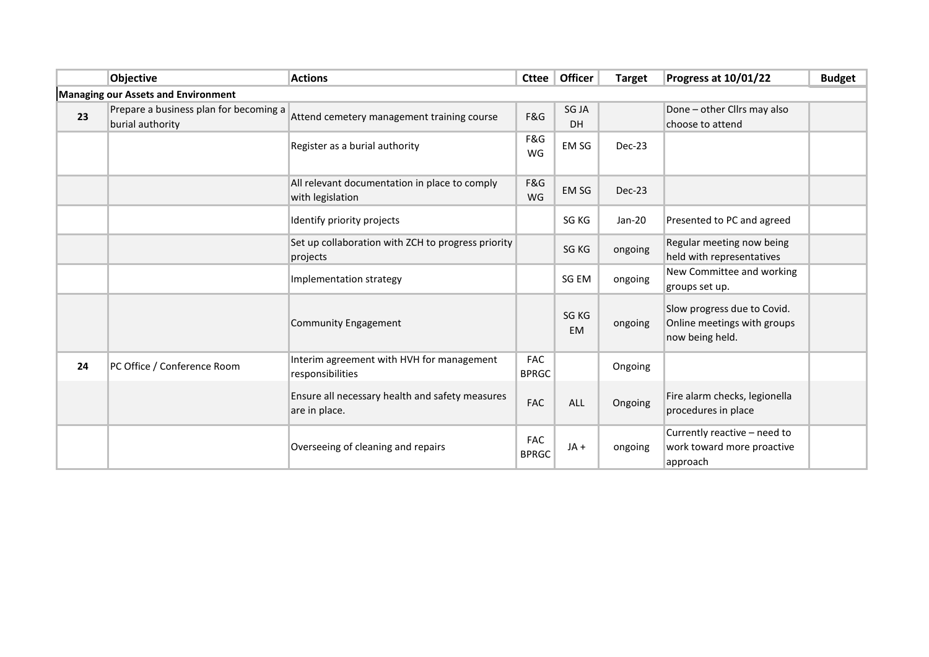|    | Objective                                                  | <b>Actions</b>                                                    | <b>Cttee</b>               | Officer            | <b>Target</b> | Progress at 10/01/22                                                          | <b>Budget</b> |
|----|------------------------------------------------------------|-------------------------------------------------------------------|----------------------------|--------------------|---------------|-------------------------------------------------------------------------------|---------------|
|    | Managing our Assets and Environment                        |                                                                   |                            |                    |               |                                                                               |               |
| 23 | Prepare a business plan for becoming a<br>burial authority | Attend cemetery management training course                        | F&G                        | SG JA<br><b>DH</b> |               | Done - other Cllrs may also<br>choose to attend                               |               |
|    |                                                            | Register as a burial authority                                    | F&G<br>WG                  | EM SG              | Dec-23        |                                                                               |               |
|    |                                                            | All relevant documentation in place to comply<br>with legislation | F&G<br>WG                  | EM SG              | Dec-23        |                                                                               |               |
|    |                                                            | Identify priority projects                                        |                            | SG KG              | Jan-20        | Presented to PC and agreed                                                    |               |
|    |                                                            | Set up collaboration with ZCH to progress priority<br>projects    |                            | SG KG              | ongoing       | Regular meeting now being<br>held with representatives                        |               |
|    |                                                            | Implementation strategy                                           |                            | SG EM              | ongoing       | New Committee and working<br>groups set up.                                   |               |
|    |                                                            | <b>Community Engagement</b>                                       |                            | SG KG<br><b>EM</b> | ongoing       | Slow progress due to Covid.<br>Online meetings with groups<br>now being held. |               |
| 24 | PC Office / Conference Room                                | Interim agreement with HVH for management<br>responsibilities     | <b>FAC</b><br><b>BPRGC</b> |                    | Ongoing       |                                                                               |               |
|    |                                                            | Ensure all necessary health and safety measures<br>are in place.  | <b>FAC</b>                 | <b>ALL</b>         | Ongoing       | Fire alarm checks, legionella<br>procedures in place                          |               |
|    |                                                            | Overseeing of cleaning and repairs                                | <b>FAC</b><br><b>BPRGC</b> | JA+                | ongoing       | Currently reactive - need to<br>work toward more proactive<br>approach        |               |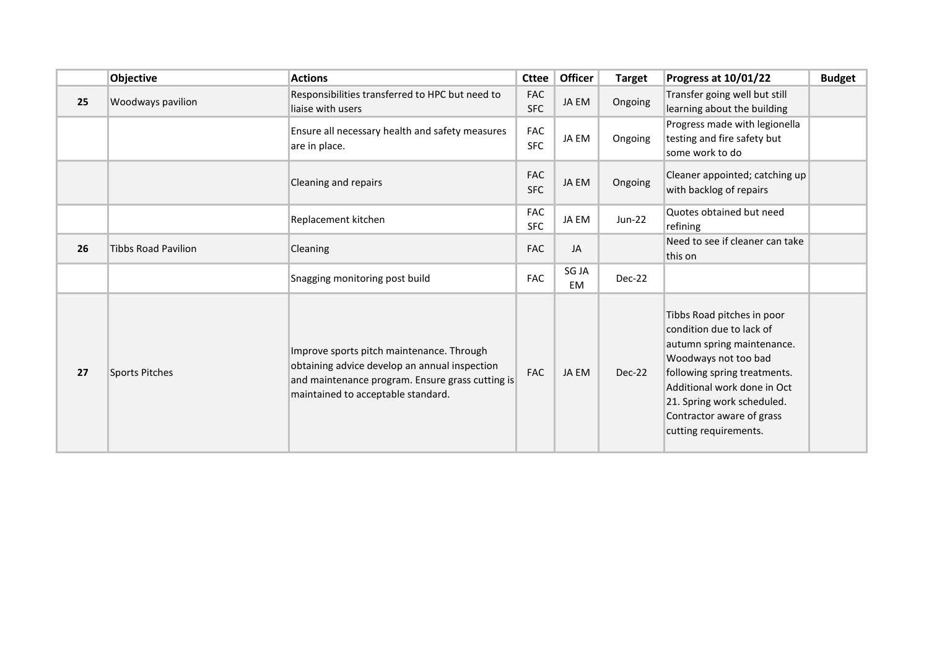|    | Objective                  | <b>Actions</b>                                                                                                                                                                       | <b>Cttee</b>             | <b>Officer</b> | <b>Target</b> | Progress at 10/01/22                                                                                                                                                                                                                                            | <b>Budget</b> |
|----|----------------------------|--------------------------------------------------------------------------------------------------------------------------------------------------------------------------------------|--------------------------|----------------|---------------|-----------------------------------------------------------------------------------------------------------------------------------------------------------------------------------------------------------------------------------------------------------------|---------------|
| 25 | Woodways pavilion          | Responsibilities transferred to HPC but need to<br>liaise with users                                                                                                                 | <b>FAC</b><br><b>SFC</b> | JA EM          | Ongoing       | Transfer going well but still<br>learning about the building                                                                                                                                                                                                    |               |
|    |                            | Ensure all necessary health and safety measures<br>are in place.                                                                                                                     | <b>FAC</b><br><b>SFC</b> | JA EM          | Ongoing       | Progress made with legionella<br>testing and fire safety but<br>some work to do                                                                                                                                                                                 |               |
|    |                            | Cleaning and repairs                                                                                                                                                                 | <b>FAC</b><br><b>SFC</b> | JA EM          | Ongoing       | Cleaner appointed; catching up<br>with backlog of repairs                                                                                                                                                                                                       |               |
|    |                            | Replacement kitchen                                                                                                                                                                  | <b>FAC</b><br><b>SFC</b> | JA EM          | <b>Jun-22</b> | Quotes obtained but need<br>refining                                                                                                                                                                                                                            |               |
| 26 | <b>Tibbs Road Pavilion</b> | Cleaning                                                                                                                                                                             | <b>FAC</b>               | JA             |               | Need to see if cleaner can take<br>this on                                                                                                                                                                                                                      |               |
|    |                            | Snagging monitoring post build                                                                                                                                                       | <b>FAC</b>               | SG JA<br>EM    | Dec-22        |                                                                                                                                                                                                                                                                 |               |
| 27 | <b>Sports Pitches</b>      | Improve sports pitch maintenance. Through<br>obtaining advice develop an annual inspection<br>and maintenance program. Ensure grass cutting is<br>maintained to acceptable standard. | <b>FAC</b>               | JA EM          | Dec-22        | Tibbs Road pitches in poor<br>condition due to lack of<br>autumn spring maintenance.<br>Woodways not too bad<br>following spring treatments.<br>Additional work done in Oct<br>21. Spring work scheduled.<br>Contractor aware of grass<br>cutting requirements. |               |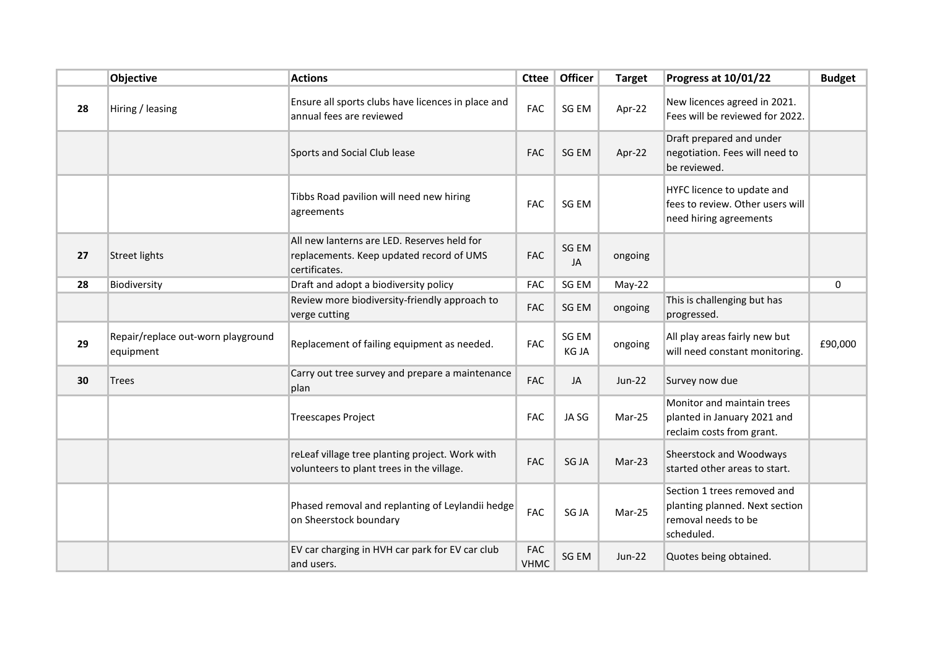|    | Objective                                       | <b>Actions</b>                                                                                           | <b>Cttee</b>              | Officer        | <b>Target</b> | Progress at 10/01/22                                                                               | <b>Budget</b> |
|----|-------------------------------------------------|----------------------------------------------------------------------------------------------------------|---------------------------|----------------|---------------|----------------------------------------------------------------------------------------------------|---------------|
| 28 | Hiring / leasing                                | Ensure all sports clubs have licences in place and<br>annual fees are reviewed                           | <b>FAC</b>                | SG EM          | Apr-22        | New licences agreed in 2021.<br>Fees will be reviewed for 2022.                                    |               |
|    |                                                 | Sports and Social Club lease                                                                             | <b>FAC</b>                | SG EM          | Apr-22        | Draft prepared and under<br>negotiation. Fees will need to<br>be reviewed.                         |               |
|    |                                                 | Tibbs Road pavilion will need new hiring<br>agreements                                                   | <b>FAC</b>                | SG EM          |               | HYFC licence to update and<br>fees to review. Other users will<br>need hiring agreements           |               |
| 27 | <b>Street lights</b>                            | All new lanterns are LED. Reserves held for<br>replacements. Keep updated record of UMS<br>certificates. | <b>FAC</b>                | SG EM<br>JA    | ongoing       |                                                                                                    |               |
| 28 | Biodiversity                                    | Draft and adopt a biodiversity policy                                                                    | <b>FAC</b>                | SG EM          | $May-22$      |                                                                                                    | $\mathbf 0$   |
|    |                                                 | Review more biodiversity-friendly approach to<br>verge cutting                                           | <b>FAC</b>                | SG EM          | ongoing       | This is challenging but has<br>progressed.                                                         |               |
| 29 | Repair/replace out-worn playground<br>equipment | Replacement of failing equipment as needed.                                                              | <b>FAC</b>                | SG EM<br>KG JA | ongoing       | All play areas fairly new but<br>will need constant monitoring.                                    | £90,000       |
| 30 | <b>Trees</b>                                    | Carry out tree survey and prepare a maintenance<br>plan                                                  | <b>FAC</b>                | JA             | <b>Jun-22</b> | Survey now due                                                                                     |               |
|    |                                                 | <b>Treescapes Project</b>                                                                                | <b>FAC</b>                | JA SG          | Mar-25        | Monitor and maintain trees<br>planted in January 2021 and<br>reclaim costs from grant.             |               |
|    |                                                 | reLeaf village tree planting project. Work with<br>volunteers to plant trees in the village.             | <b>FAC</b>                | SG JA          | Mar-23        | Sheerstock and Woodways<br>started other areas to start.                                           |               |
|    |                                                 | Phased removal and replanting of Leylandii hedge<br>on Sheerstock boundary                               | <b>FAC</b>                | SG JA          | Mar-25        | Section 1 trees removed and<br>planting planned. Next section<br>removal needs to be<br>scheduled. |               |
|    |                                                 | EV car charging in HVH car park for EV car club<br>and users.                                            | <b>FAC</b><br><b>VHMC</b> | SG EM          | Jun-22        | Quotes being obtained.                                                                             |               |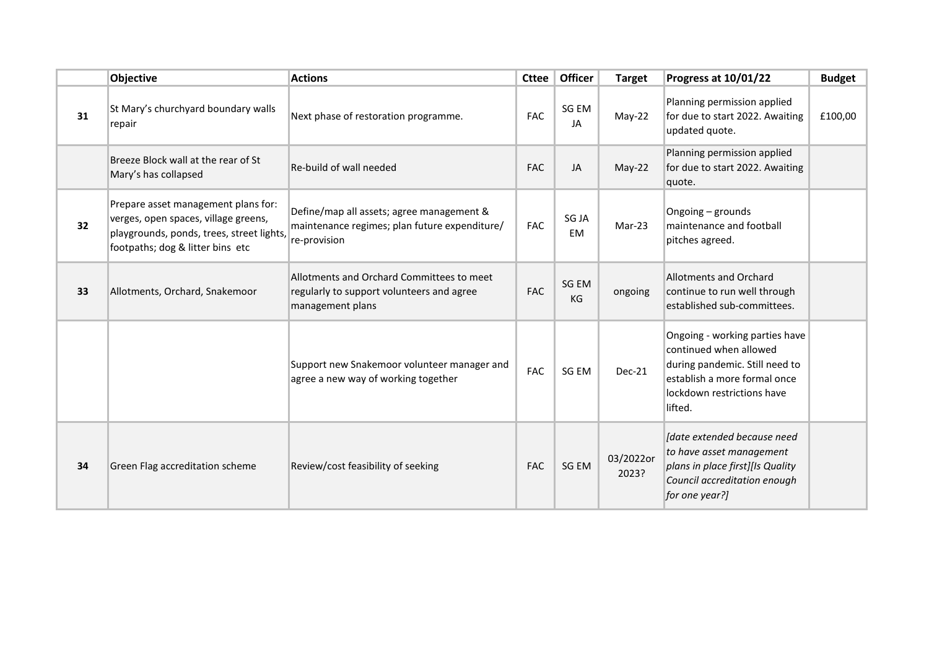|                 | Objective                                                                                                                                                    | <b>Actions</b>                                                                                             | <b>Cttee</b> | Officer     | <b>Target</b>      | Progress at 10/01/22                                                                                                                                                | <b>Budget</b> |
|-----------------|--------------------------------------------------------------------------------------------------------------------------------------------------------------|------------------------------------------------------------------------------------------------------------|--------------|-------------|--------------------|---------------------------------------------------------------------------------------------------------------------------------------------------------------------|---------------|
| 31              | St Mary's churchyard boundary walls<br>repair                                                                                                                | Next phase of restoration programme.                                                                       | <b>FAC</b>   | SG EM<br>JA | $May-22$           | Planning permission applied<br>for due to start 2022. Awaiting<br>updated quote.                                                                                    | £100,00       |
|                 | Breeze Block wall at the rear of St<br>Mary's has collapsed                                                                                                  | Re-build of wall needed                                                                                    | <b>FAC</b>   | JA          | May-22             | Planning permission applied<br>for due to start 2022. Awaiting<br>quote.                                                                                            |               |
| 32 <sub>2</sub> | Prepare asset management plans for:<br>verges, open spaces, village greens,<br>playgrounds, ponds, trees, street lights,<br>footpaths; dog & litter bins etc | Define/map all assets; agree management &<br>maintenance regimes; plan future expenditure/<br>re-provision | <b>FAC</b>   | SG JA<br>EM | Mar-23             | Ongoing - grounds<br>maintenance and football<br>pitches agreed.                                                                                                    |               |
| 33              | Allotments, Orchard, Snakemoor                                                                                                                               | Allotments and Orchard Committees to meet<br>regularly to support volunteers and agree<br>management plans | <b>FAC</b>   | SG EM<br>KG | ongoing            | <b>Allotments and Orchard</b><br>continue to run well through<br>established sub-committees.                                                                        |               |
|                 |                                                                                                                                                              | Support new Snakemoor volunteer manager and<br>agree a new way of working together                         | <b>FAC</b>   | SG EM       | Dec-21             | Ongoing - working parties have<br>continued when allowed<br>during pandemic. Still need to<br>establish a more formal once<br>lockdown restrictions have<br>lifted. |               |
| 34              | Green Flag accreditation scheme                                                                                                                              | Review/cost feasibility of seeking                                                                         | <b>FAC</b>   | SG EM       | 03/2022or<br>2023? | Idate extended because need<br>to have asset management<br>plans in place first][Is Quality<br>Council accreditation enough<br>for one year?]                       |               |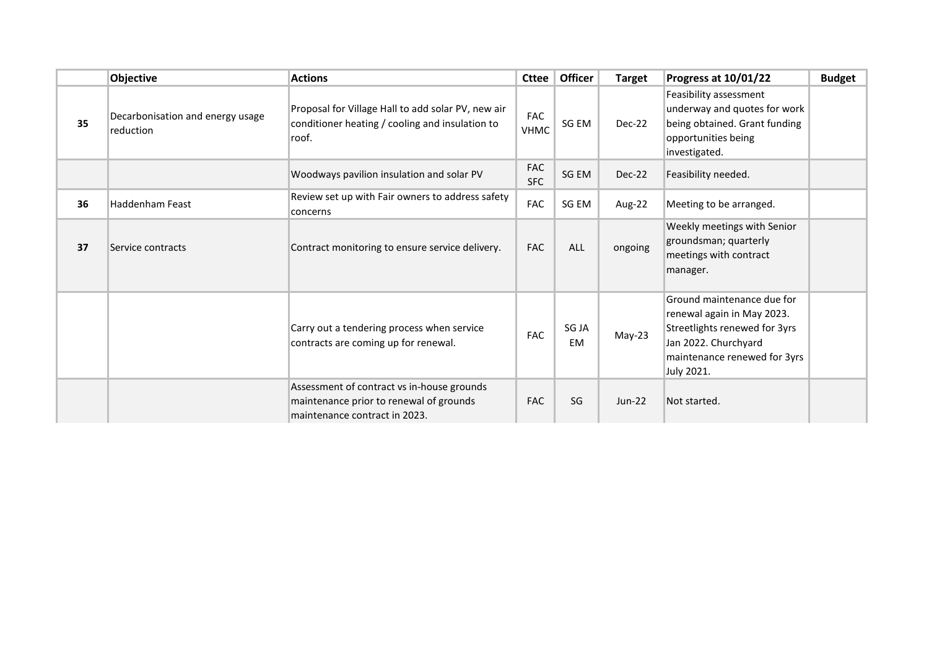|    | Objective                                     | <b>Actions</b>                                                                                                         | <b>Cttee</b>              | <b>Officer</b> | <b>Target</b> | Progress at 10/01/22                                                                                                                                            | <b>Budget</b> |
|----|-----------------------------------------------|------------------------------------------------------------------------------------------------------------------------|---------------------------|----------------|---------------|-----------------------------------------------------------------------------------------------------------------------------------------------------------------|---------------|
| 35 | Decarbonisation and energy usage<br>reduction | Proposal for Village Hall to add solar PV, new air<br>conditioner heating / cooling and insulation to<br>roof.         | <b>FAC</b><br><b>VHMC</b> | SG EM          | Dec-22        | Feasibility assessment<br>underway and quotes for work<br>being obtained. Grant funding<br>opportunities being<br>investigated.                                 |               |
|    |                                               | Woodways pavilion insulation and solar PV                                                                              | <b>FAC</b><br><b>SFC</b>  | SG EM          | Dec-22        | Feasibility needed.                                                                                                                                             |               |
| 36 | <b>Haddenham Feast</b>                        | Review set up with Fair owners to address safety<br>concerns                                                           | FAC                       | SG EM          | Aug-22        | Meeting to be arranged.                                                                                                                                         |               |
| 37 | Service contracts                             | Contract monitoring to ensure service delivery.                                                                        | <b>FAC</b>                | <b>ALL</b>     | ongoing       | Weekly meetings with Senior<br>groundsman; quarterly<br>meetings with contract<br>manager.                                                                      |               |
|    |                                               | Carry out a tendering process when service<br>contracts are coming up for renewal.                                     | FAC                       | SG JA<br>EM    | $May-23$      | Ground maintenance due for<br>renewal again in May 2023.<br>Streetlights renewed for 3yrs<br>Jan 2022. Churchyard<br>maintenance renewed for 3yrs<br>July 2021. |               |
|    |                                               | Assessment of contract vs in-house grounds<br>maintenance prior to renewal of grounds<br>maintenance contract in 2023. | <b>FAC</b>                | SG             | $Jun-22$      | Not started.                                                                                                                                                    |               |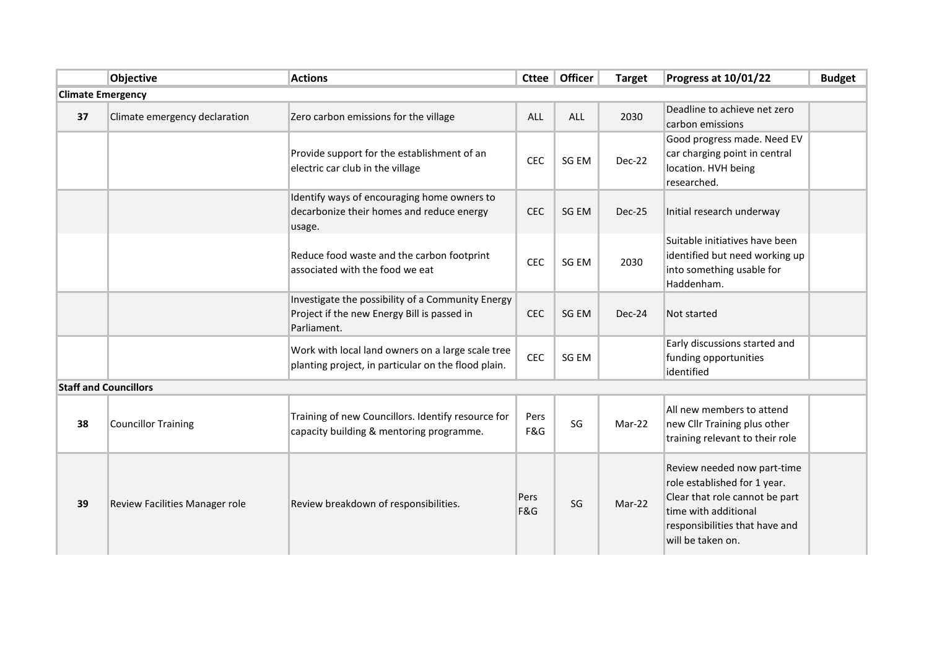|                          | Objective                      | <b>Actions</b>                                                                                                  | Cttee       | Officer    | <b>Target</b> | Progress at 10/01/22                                                                                                                                                         | <b>Budget</b> |  |
|--------------------------|--------------------------------|-----------------------------------------------------------------------------------------------------------------|-------------|------------|---------------|------------------------------------------------------------------------------------------------------------------------------------------------------------------------------|---------------|--|
| <b>Climate Emergency</b> |                                |                                                                                                                 |             |            |               |                                                                                                                                                                              |               |  |
| 37                       | Climate emergency declaration  | Zero carbon emissions for the village                                                                           | ALL         | <b>ALL</b> | 2030          | Deadline to achieve net zero<br>carbon emissions                                                                                                                             |               |  |
|                          |                                | Provide support for the establishment of an<br>electric car club in the village                                 | CEC         | SG EM      | Dec-22        | Good progress made. Need EV<br>car charging point in central<br>location. HVH being<br>researched.                                                                           |               |  |
|                          |                                | Identify ways of encouraging home owners to<br>decarbonize their homes and reduce energy<br>usage.              | CEC         | SG EM      | Dec-25        | Initial research underway                                                                                                                                                    |               |  |
|                          |                                | Reduce food waste and the carbon footprint<br>associated with the food we eat                                   | <b>CEC</b>  | SG EM      | 2030          | Suitable initiatives have been<br>identified but need working up<br>into something usable for<br>Haddenham.                                                                  |               |  |
|                          |                                | Investigate the possibility of a Community Energy<br>Project if the new Energy Bill is passed in<br>Parliament. | <b>CEC</b>  | SG EM      | Dec-24        | Not started                                                                                                                                                                  |               |  |
|                          |                                | Work with local land owners on a large scale tree<br>planting project, in particular on the flood plain.        | <b>CEC</b>  | SG EM      |               | Early discussions started and<br>funding opportunities<br>identified                                                                                                         |               |  |
|                          | <b>Staff and Councillors</b>   |                                                                                                                 |             |            |               |                                                                                                                                                                              |               |  |
| 38                       | <b>Councillor Training</b>     | Training of new Councillors. Identify resource for<br>capacity building & mentoring programme.                  | Pers<br>F&G | SG         | Mar-22        | All new members to attend<br>new Cllr Training plus other<br>training relevant to their role                                                                                 |               |  |
| 39                       | Review Facilities Manager role | Review breakdown of responsibilities.                                                                           | Pers<br>F&G | SG         | Mar-22        | Review needed now part-time<br>role established for 1 year.<br>Clear that role cannot be part<br>time with additional<br>responsibilities that have and<br>will be taken on. |               |  |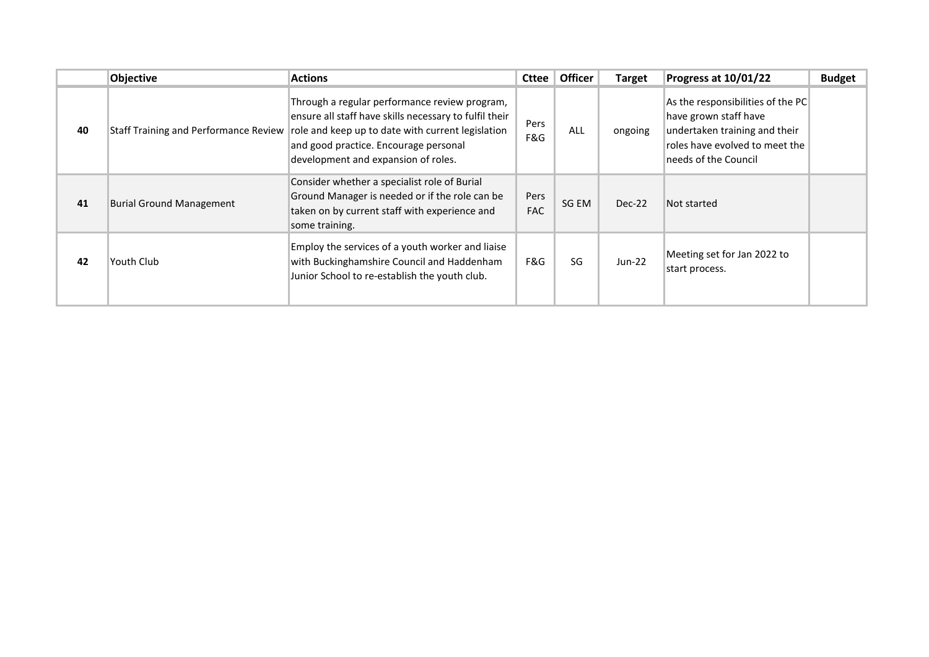|    | Objective                                    | <b>Actions</b>                                                                                                                                                                                                                               | <b>Cttee</b>       | <b>Officer</b> | <b>Target</b> | Progress at 10/01/22                                                                                                                                  | <b>Budget</b> |
|----|----------------------------------------------|----------------------------------------------------------------------------------------------------------------------------------------------------------------------------------------------------------------------------------------------|--------------------|----------------|---------------|-------------------------------------------------------------------------------------------------------------------------------------------------------|---------------|
| 40 | <b>Staff Training and Performance Review</b> | Through a regular performance review program,<br>ensure all staff have skills necessary to fulfil their<br>role and keep up to date with current legislation<br>and good practice. Encourage personal<br>development and expansion of roles. | Pers<br>F&G        | ALL            | ongoing       | As the responsibilities of the PC<br>have grown staff have<br>undertaken training and their<br>roles have evolved to meet the<br>needs of the Council |               |
| 41 | <b>Burial Ground Management</b>              | Consider whether a specialist role of Burial<br>Ground Manager is needed or if the role can be<br>taken on by current staff with experience and<br>some training.                                                                            | Pers<br><b>FAC</b> | SG EM          | Dec-22        | Not started                                                                                                                                           |               |
| 42 | Youth Club                                   | Employ the services of a youth worker and liaise<br>with Buckinghamshire Council and Haddenham<br>Junior School to re-establish the youth club.                                                                                              | F&G                | SG             | $Jun-22$      | Meeting set for Jan 2022 to<br>start process.                                                                                                         |               |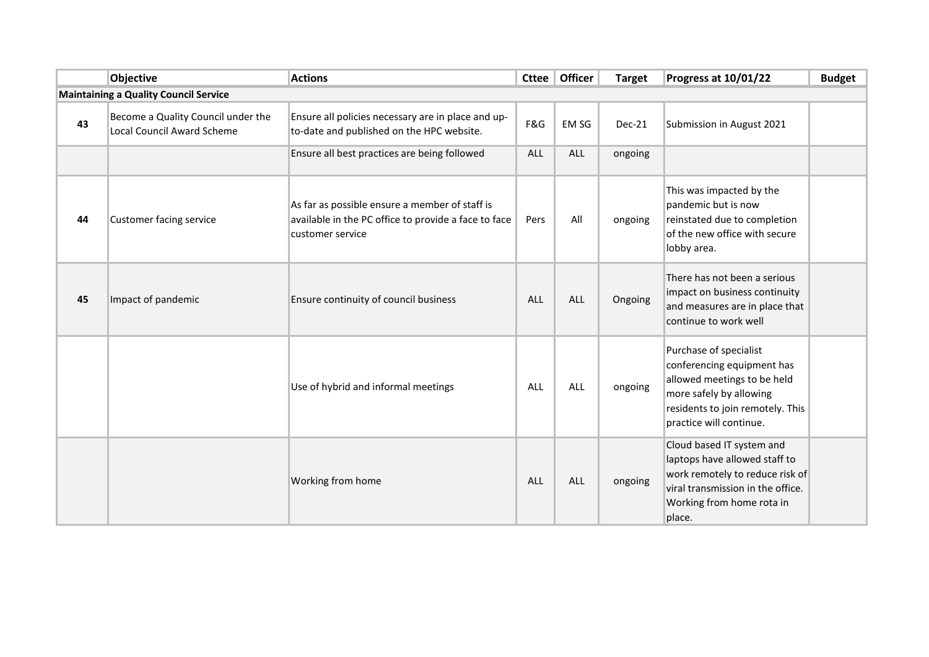|                                              | <b>Objective</b>                                                        | <b>Actions</b>                                                                                                             | <b>Cttee</b> | Officer    | <b>Target</b> | Progress at 10/01/22                                                                                                                                                          | <b>Budget</b> |  |  |
|----------------------------------------------|-------------------------------------------------------------------------|----------------------------------------------------------------------------------------------------------------------------|--------------|------------|---------------|-------------------------------------------------------------------------------------------------------------------------------------------------------------------------------|---------------|--|--|
| <b>Maintaining a Quality Council Service</b> |                                                                         |                                                                                                                            |              |            |               |                                                                                                                                                                               |               |  |  |
| 43                                           | Become a Quality Council under the<br><b>Local Council Award Scheme</b> | Ensure all policies necessary are in place and up-<br>to-date and published on the HPC website.                            | F&G          | EM SG      | Dec-21        | Submission in August 2021                                                                                                                                                     |               |  |  |
|                                              |                                                                         | Ensure all best practices are being followed                                                                               | <b>ALL</b>   | <b>ALL</b> | ongoing       |                                                                                                                                                                               |               |  |  |
| 44                                           | Customer facing service                                                 | As far as possible ensure a member of staff is<br>available in the PC office to provide a face to face<br>customer service | Pers         | All        | ongoing       | This was impacted by the<br>pandemic but is now<br>reinstated due to completion<br>of the new office with secure<br>lobby area.                                               |               |  |  |
| 45                                           | Impact of pandemic                                                      | Ensure continuity of council business                                                                                      | ALL          | ALL        | Ongoing       | There has not been a serious<br>impact on business continuity<br>and measures are in place that<br>continue to work well                                                      |               |  |  |
|                                              |                                                                         | Use of hybrid and informal meetings                                                                                        | ALL          | <b>ALL</b> | ongoing       | Purchase of specialist<br>conferencing equipment has<br>allowed meetings to be held<br>more safely by allowing<br>residents to join remotely. This<br>practice will continue. |               |  |  |
|                                              |                                                                         | Working from home                                                                                                          | <b>ALL</b>   | <b>ALL</b> | ongoing       | Cloud based IT system and<br>laptops have allowed staff to<br>work remotely to reduce risk of<br>viral transmission in the office.<br>Working from home rota in<br>place.     |               |  |  |